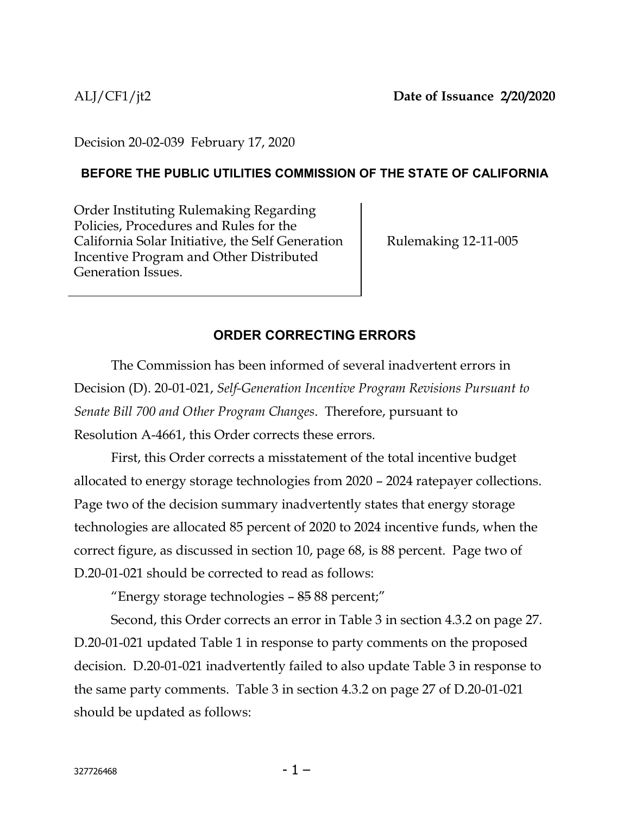Decision 20-02-039 February 17, 2020

### **BEFORE THE PUBLIC UTILITIES COMMISSION OF THE STATE OF CALIFORNIA**

Order Instituting Rulemaking Regarding Policies, Procedures and Rules for the California Solar Initiative, the Self Generation Incentive Program and Other Distributed Generation Issues.

Rulemaking 12-11-005

# **ORDER CORRECTING ERRORS**

The Commission has been informed of several inadvertent errors in Decision (D). 20-01-021, *Self-Generation Incentive Program Revisions Pursuant to Senate Bill 700 and Other Program Changes*. Therefore, pursuant to Resolution A-4661, this Order corrects these errors.

First, this Order corrects a misstatement of the total incentive budget allocated to energy storage technologies from 2020 – 2024 ratepayer collections. Page two of the decision summary inadvertently states that energy storage technologies are allocated 85 percent of 2020 to 2024 incentive funds, when the correct figure, as discussed in section 10, page 68, is 88 percent. Page two of D.20-01-021 should be corrected to read as follows:

"Energy storage technologies – 85 88 percent;"

Second, this Order corrects an error in Table 3 in section 4.3.2 on page 27. D.20-01-021 updated Table 1 in response to party comments on the proposed decision. D.20-01-021 inadvertently failed to also update Table 3 in response to the same party comments. Table 3 in section 4.3.2 on page 27 of D.20-01-021 should be updated as follows: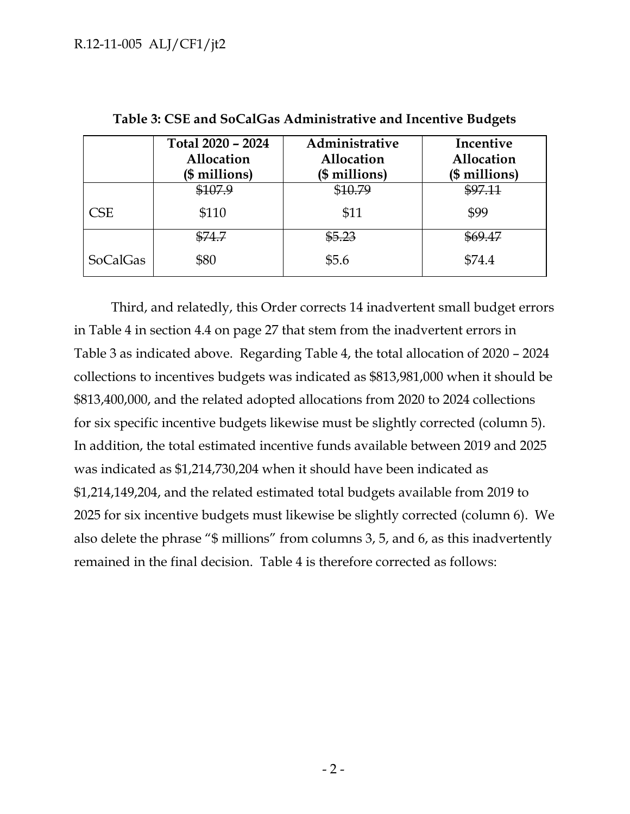|                 | Total 2020 - 2024<br>Allocation<br>(\$ millions) | Administrative<br>Allocation<br>(\$ millions) | Incentive<br>Allocation<br>$($$ millions) |
|-----------------|--------------------------------------------------|-----------------------------------------------|-------------------------------------------|
|                 | \$107.9                                          | \$10.79                                       | \$97.11                                   |
| CSE             | \$110                                            | \$11                                          | \$99                                      |
|                 | <del>\$74.7</del>                                | \$5.23                                        | \$69.47                                   |
| <b>SoCalGas</b> | \$80                                             | \$5.6                                         | \$74.4                                    |

**Table 3: CSE and SoCalGas Administrative and Incentive Budgets**

Third, and relatedly, this Order corrects 14 inadvertent small budget errors in Table 4 in section 4.4 on page 27 that stem from the inadvertent errors in Table 3 as indicated above. Regarding Table 4, the total allocation of 2020 – 2024 collections to incentives budgets was indicated as \$813,981,000 when it should be \$813,400,000, and the related adopted allocations from 2020 to 2024 collections for six specific incentive budgets likewise must be slightly corrected (column 5). In addition, the total estimated incentive funds available between 2019 and 2025 was indicated as \$1,214,730,204 when it should have been indicated as \$1,214,149,204, and the related estimated total budgets available from 2019 to 2025 for six incentive budgets must likewise be slightly corrected (column 6). We also delete the phrase "\$ millions" from columns 3, 5, and 6, as this inadvertently remained in the final decision. Table 4 is therefore corrected as follows: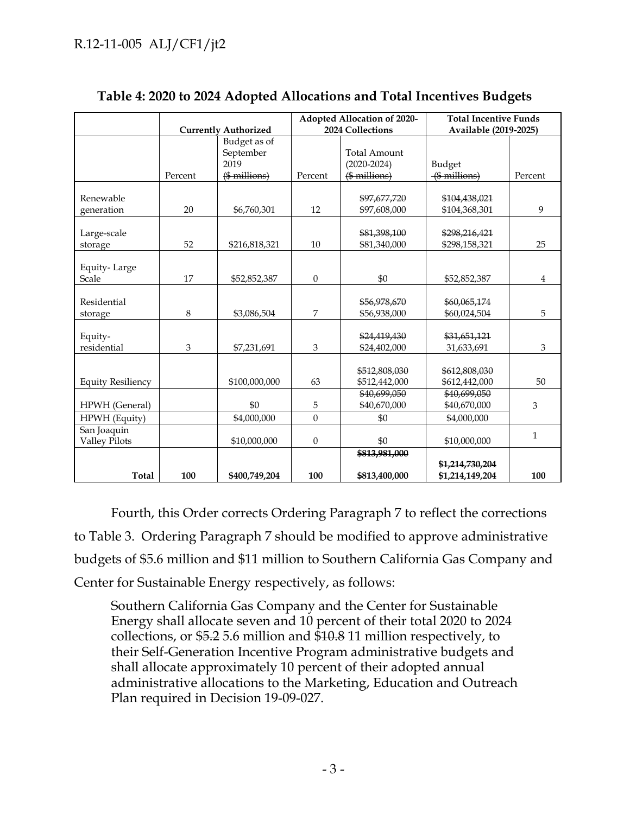|                                     |                             |                           | Adopted Allocation of 2020- |                                | <b>Total Incentive Funds</b>       |              |
|-------------------------------------|-----------------------------|---------------------------|-----------------------------|--------------------------------|------------------------------------|--------------|
|                                     | <b>Currently Authorized</b> |                           | 2024 Collections            |                                | Available (2019-2025)              |              |
|                                     |                             | Budget as of<br>September |                             | <b>Total Amount</b>            |                                    |              |
|                                     |                             | 2019                      |                             | $(2020 - 2024)$                | Budget                             |              |
|                                     | Percent                     | $($$ millions $)$         | Percent                     | $($$ millions $)$              | $($$ millions $)$                  | Percent      |
| Renewable                           |                             |                           |                             | \$97,677,720                   | \$104,438,021                      |              |
| generation                          | 20                          | \$6,760,301               | 12                          | \$97,608,000                   | \$104,368,301                      | 9            |
| Large-scale<br>storage              | 52                          | \$216,818,321             | 10                          | \$81,398,100<br>\$81,340,000   | \$298,216,421<br>\$298,158,321     | 25           |
| Equity-Large<br>Scale               | 17                          | \$52,852,387              | $\overline{0}$              | \$0                            | \$52,852,387                       | 4            |
| Residential<br>storage              | 8                           | \$3,086,504               | 7                           | \$56,978,670<br>\$56,938,000   | \$60,065,174<br>\$60,024,504       | 5            |
| Equity-<br>residential              | 3                           | \$7,231,691               | 3                           | \$24,419,430<br>\$24,402,000   | \$31,651,121<br>31,633,691         | 3            |
| <b>Equity Resiliency</b>            |                             | \$100,000,000             | 63                          | \$512,808,030<br>\$512,442,000 | \$612,808,030<br>\$612,442,000     | 50           |
| HPWH (General)                      |                             | \$0                       | 5                           | \$40,699,050<br>\$40,670,000   | \$40,699,050<br>\$40,670,000       | 3            |
| HPWH (Equity)                       |                             | \$4,000,000               | $\overline{0}$              | \$0                            | \$4,000,000                        |              |
| San Joaquin<br><b>Valley Pilots</b> |                             | \$10,000,000              | $\boldsymbol{0}$            | \$0                            | \$10,000,000                       | $\mathbf{1}$ |
|                                     |                             |                           |                             | \$813,981,000                  |                                    |              |
| <b>Total</b>                        | 100                         | \$400,749,204             | 100                         | \$813,400,000                  | \$1,214,730,204<br>\$1,214,149,204 | 100          |

### **Table 4: 2020 to 2024 Adopted Allocations and Total Incentives Budgets**

Fourth, this Order corrects Ordering Paragraph 7 to reflect the corrections to Table 3. Ordering Paragraph 7 should be modified to approve administrative budgets of \$5.6 million and \$11 million to Southern California Gas Company and Center for Sustainable Energy respectively, as follows:

Southern California Gas Company and the Center for Sustainable Energy shall allocate seven and 10 percent of their total 2020 to 2024 collections, or \$5.2 5.6 million and \$10.8 11 million respectively, to their Self-Generation Incentive Program administrative budgets and shall allocate approximately 10 percent of their adopted annual administrative allocations to the Marketing, Education and Outreach Plan required in Decision 19-09-027.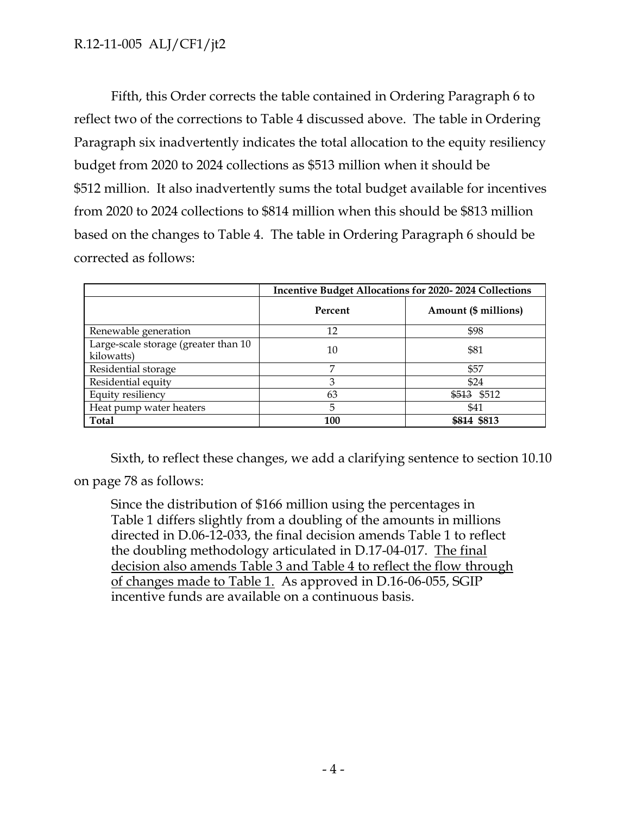### R.12-11-005 ALJ/CF1/jt2

Fifth, this Order corrects the table contained in Ordering Paragraph 6 to reflect two of the corrections to Table 4 discussed above. The table in Ordering Paragraph six inadvertently indicates the total allocation to the equity resiliency budget from 2020 to 2024 collections as \$513 million when it should be \$512 million. It also inadvertently sums the total budget available for incentives from 2020 to 2024 collections to \$814 million when this should be \$813 million based on the changes to Table 4. The table in Ordering Paragraph 6 should be corrected as follows:

|                                                    | <b>Incentive Budget Allocations for 2020-2024 Collections</b> |                      |  |  |
|----------------------------------------------------|---------------------------------------------------------------|----------------------|--|--|
|                                                    | Percent                                                       | Amount (\$ millions) |  |  |
| Renewable generation                               | 12                                                            | \$98                 |  |  |
| Large-scale storage (greater than 10<br>kilowatts) | 10                                                            | \$81                 |  |  |
| Residential storage                                | 7                                                             | \$57                 |  |  |
| Residential equity                                 | 3                                                             | \$24                 |  |  |
| Equity resiliency                                  | 63                                                            | \$513 \$512          |  |  |
| Heat pump water heaters                            | 5                                                             | \$41                 |  |  |
| <b>Total</b>                                       | 100                                                           | \$814 \$813          |  |  |

Sixth, to reflect these changes, we add a clarifying sentence to section 10.10 on page 78 as follows:

Since the distribution of \$166 million using the percentages in Table 1 differs slightly from a doubling of the amounts in millions directed in D.06-12-033, the final decision amends Table 1 to reflect the doubling methodology articulated in D.17-04-017. The final decision also amends Table 3 and Table 4 to reflect the flow through of changes made to Table 1. As approved in D.16-06-055, SGIP incentive funds are available on a continuous basis.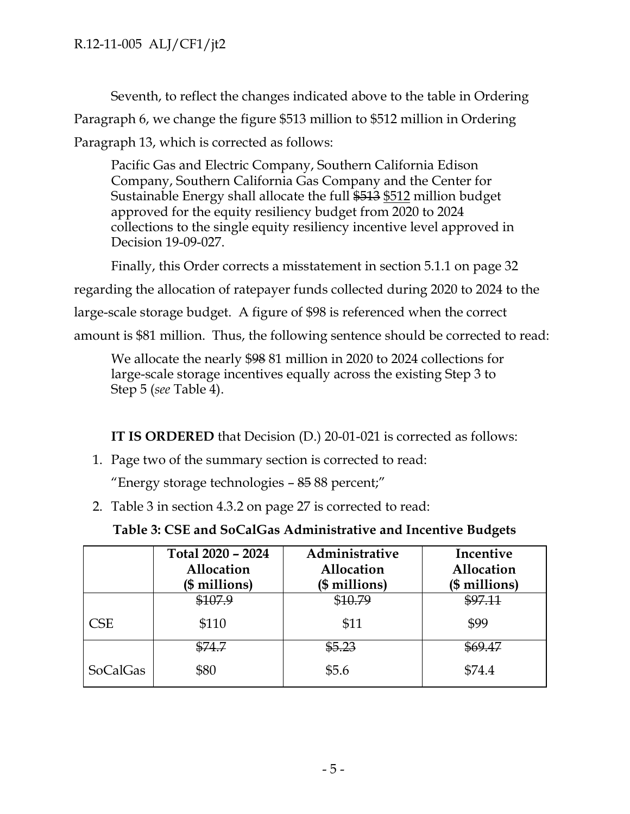Seventh, to reflect the changes indicated above to the table in Ordering Paragraph 6, we change the figure \$513 million to \$512 million in Ordering Paragraph 13, which is corrected as follows:

Pacific Gas and Electric Company, Southern California Edison Company, Southern California Gas Company and the Center for Sustainable Energy shall allocate the full \$513 \$512 million budget approved for the equity resiliency budget from 2020 to 2024 collections to the single equity resiliency incentive level approved in Decision 19-09-027.

Finally, this Order corrects a misstatement in section 5.1.1 on page 32 regarding the allocation of ratepayer funds collected during 2020 to 2024 to the large-scale storage budget. A figure of \$98 is referenced when the correct amount is \$81 million. Thus, the following sentence should be corrected to read:

We allocate the nearly \$98 81 million in 2020 to 2024 collections for large-scale storage incentives equally across the existing Step 3 to Step 5 (*see* Table 4).

**IT IS ORDERED** that Decision (D.) 20-01-021 is corrected as follows:

1. Page two of the summary section is corrected to read:

"Energy storage technologies – 85 88 percent;"

2. Table 3 in section 4.3.2 on page 27 is corrected to read:

| Table 3: CSE and SoCalGas Administrative and Incentive Budgets |
|----------------------------------------------------------------|
|----------------------------------------------------------------|

|                 | Total 2020 - 2024<br>Allocation<br>(\$ millions) | Administrative<br>Allocation<br>(\$ millions) | Incentive<br>Allocation<br>(\$ millions) |
|-----------------|--------------------------------------------------|-----------------------------------------------|------------------------------------------|
|                 | \$107.9                                          | \$10.79                                       | \$97.11                                  |
| CSE             | \$110                                            | \$11                                          | \$99                                     |
|                 | \$74.7                                           | \$5.23                                        | <del>\$69.47</del>                       |
| <b>SoCalGas</b> | \$80                                             | \$5.6                                         | \$74.4                                   |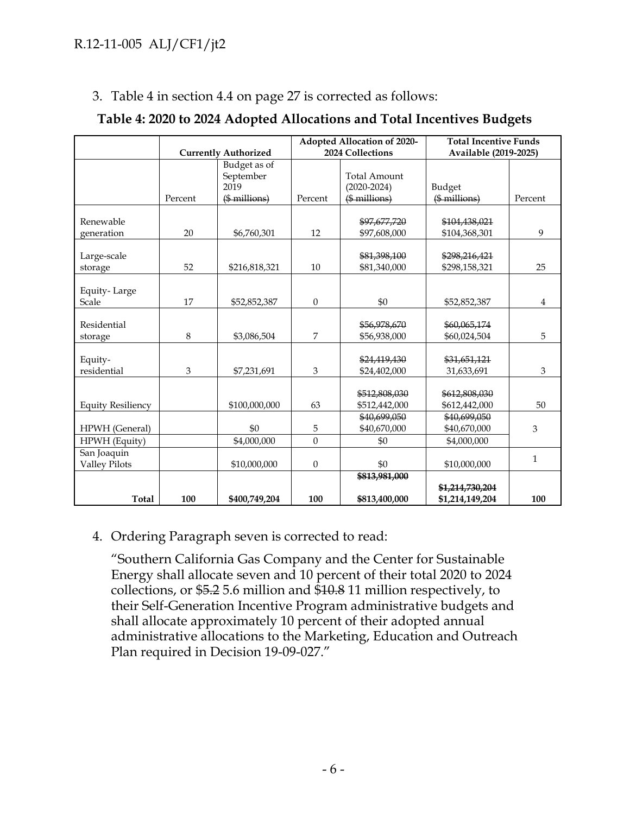3. Table 4 in section 4.4 on page 27 is corrected as follows:

|                                     | <b>Currently Authorized</b> |                                   |                  | Adopted Allocation of 2020-<br>2024 Collections | <b>Total Incentive Funds</b><br>Available (2019-2025) |                |
|-------------------------------------|-----------------------------|-----------------------------------|------------------|-------------------------------------------------|-------------------------------------------------------|----------------|
|                                     |                             | Budget as of<br>September<br>2019 |                  | <b>Total Amount</b><br>$(2020 - 2024)$          | Budget                                                |                |
|                                     | Percent                     | $($$ millions)                    | Percent          | (\$ millions)                                   | (\$ millions)                                         | Percent        |
| Renewable<br>generation             | 20                          | \$6,760,301                       | 12               | \$97,677,720<br>\$97,608,000                    | \$104,438,021<br>\$104,368,301                        | 9              |
| Large-scale<br>storage              | 52                          | \$216,818,321                     | 10               | \$81,398,100<br>\$81,340,000                    | \$298,216,421<br>\$298,158,321                        | 25             |
| Equity-Large<br>Scale               | 17                          | \$52,852,387                      | $\mathbf{0}$     | \$0                                             | \$52,852,387                                          | $\overline{4}$ |
| Residential<br>storage              | 8                           | \$3,086,504                       | 7                | \$56,978,670<br>\$56,938,000                    | \$60,065,174<br>\$60,024,504                          | 5              |
| Equity-<br>residential              | 3                           | \$7,231,691                       | 3                | \$24,419,430<br>\$24,402,000                    | \$31,651,121<br>31,633,691                            | 3              |
| <b>Equity Resiliency</b>            |                             | \$100,000,000                     | 63               | \$512,808,030<br>\$512,442,000                  | \$612,808,030<br>\$612,442,000                        | 50             |
| HPWH (General)                      |                             | \$0                               | 5                | \$40,699,050<br>\$40,670,000                    | \$40,699,050<br>\$40,670,000                          | 3              |
| HPWH (Equity)                       |                             | \$4,000,000                       | $\mathbf{0}$     | \$0                                             | \$4,000,000                                           |                |
| San Joaquin<br><b>Valley Pilots</b> |                             | \$10,000,000                      | $\boldsymbol{0}$ | \$0                                             | \$10,000,000                                          | $\mathbf{1}$   |
| <b>Total</b>                        | 100                         | \$400,749,204                     | 100              | \$813,981,000<br>\$813,400,000                  | \$1,214,730,204<br>\$1,214,149,204                    | 100            |

#### **Table 4: 2020 to 2024 Adopted Allocations and Total Incentives Budgets**

#### 4. Ordering Paragraph seven is corrected to read:

"Southern California Gas Company and the Center for Sustainable Energy shall allocate seven and 10 percent of their total 2020 to 2024 collections, or \$5.2 5.6 million and \$10.8 11 million respectively, to their Self-Generation Incentive Program administrative budgets and shall allocate approximately 10 percent of their adopted annual administrative allocations to the Marketing, Education and Outreach Plan required in Decision 19-09-027."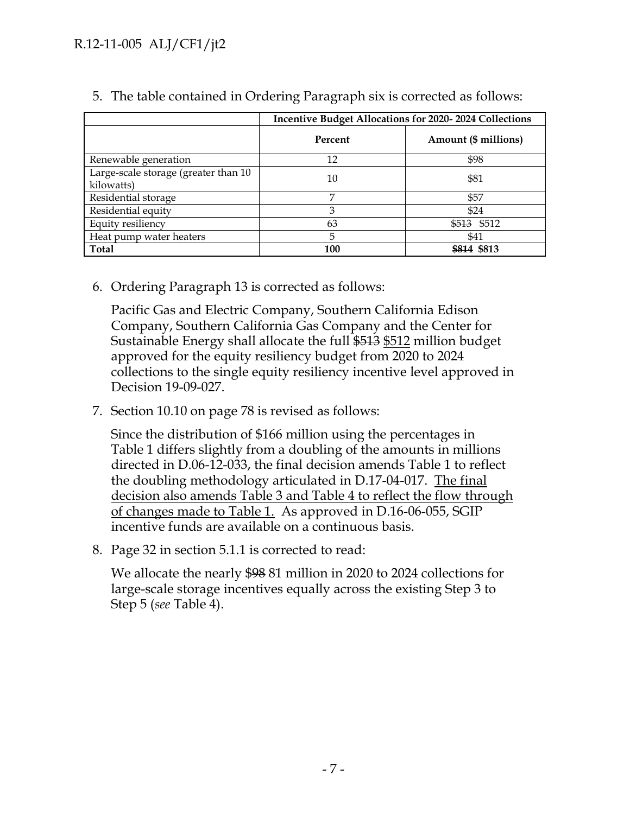### R.12-11-005 ALJ/CF1/jt2

|                                                    | <b>Incentive Budget Allocations for 2020-2024 Collections</b> |                      |  |  |
|----------------------------------------------------|---------------------------------------------------------------|----------------------|--|--|
|                                                    | Percent                                                       | Amount (\$ millions) |  |  |
| Renewable generation                               | 12                                                            | \$98                 |  |  |
| Large-scale storage (greater than 10<br>kilowatts) | 10                                                            | \$81                 |  |  |
| Residential storage                                | 7                                                             | \$57                 |  |  |
| Residential equity                                 | 3                                                             | \$24                 |  |  |
| Equity resiliency                                  | 63                                                            | \$513 \$512          |  |  |
| Heat pump water heaters                            | 5                                                             | \$41                 |  |  |
| <b>Total</b>                                       | 100                                                           | \$814 \$813          |  |  |

5. The table contained in Ordering Paragraph six is corrected as follows:

6. Ordering Paragraph 13 is corrected as follows:

Pacific Gas and Electric Company, Southern California Edison Company, Southern California Gas Company and the Center for Sustainable Energy shall allocate the full \$513 \$512 million budget approved for the equity resiliency budget from 2020 to 2024 collections to the single equity resiliency incentive level approved in Decision 19-09-027.

7. Section 10.10 on page 78 is revised as follows:

Since the distribution of \$166 million using the percentages in Table 1 differs slightly from a doubling of the amounts in millions directed in D.06-12-033, the final decision amends Table 1 to reflect the doubling methodology articulated in D.17-04-017. The final decision also amends Table 3 and Table 4 to reflect the flow through of changes made to Table 1. As approved in D.16-06-055, SGIP incentive funds are available on a continuous basis.

8. Page 32 in section 5.1.1 is corrected to read:

We allocate the nearly \$98 81 million in 2020 to 2024 collections for large-scale storage incentives equally across the existing Step 3 to Step 5 (*see* Table 4).